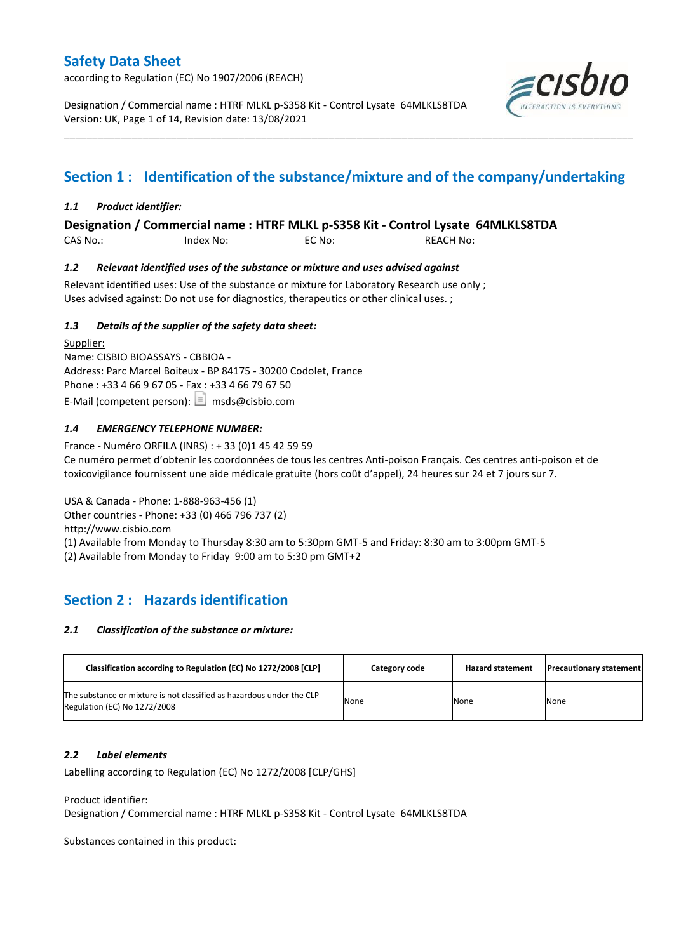according to Regulation (EC) No 1907/2006 (REACH)

Designation / Commercial name : HTRF MLKL p-S358 Kit - Control Lysate 64MLKLS8TDA Version: UK, Page 1 of 14, Revision date: 13/08/2021



# **Section 1 : Identification of the substance/mixture and of the company/undertaking**

\_\_\_\_\_\_\_\_\_\_\_\_\_\_\_\_\_\_\_\_\_\_\_\_\_\_\_\_\_\_\_\_\_\_\_\_\_\_\_\_\_\_\_\_\_\_\_\_\_\_\_\_\_\_\_\_\_\_\_\_\_\_\_\_\_\_\_\_\_\_\_\_\_\_\_\_\_\_\_\_\_\_\_\_\_\_\_\_\_\_\_\_\_\_\_\_\_\_\_\_\_

### *1.1 Product identifier:*

**Designation / Commercial name : HTRF MLKL p-S358 Kit - Control Lysate 64MLKLS8TDA** 

CAS No.: Index No: EC No: REACH No:

### *1.2 Relevant identified uses of the substance or mixture and uses advised against*

Relevant identified uses: Use of the substance or mixture for Laboratory Research use only ; Uses advised against: Do not use for diagnostics, therapeutics or other clinical uses. ;

### *1.3 Details of the supplier of the safety data sheet:*

Supplier: Name: CISBIO BIOASSAYS - CBBIOA - Address: Parc Marcel Boiteux - BP 84175 - 30200 Codolet, France Phone : +33 4 66 9 67 05 - Fax : +33 4 66 79 67 50 E-Mail (competent person):  $\boxed{\equiv}$  msds@cisbio.com

### *1.4 EMERGENCY TELEPHONE NUMBER:*

France - Numéro ORFILA (INRS) : + 33 (0)1 45 42 59 59 Ce numéro permet d'obtenir les coordonnées de tous les centres Anti-poison Français. Ces centres anti-poison et de toxicovigilance fournissent une aide médicale gratuite (hors coût d'appel), 24 heures sur 24 et 7 jours sur 7.

USA & Canada - Phone: 1-888-963-456 (1) Other countries - Phone: +33 (0) 466 796 737 (2) http://www.cisbio.com (1) Available from Monday to Thursday 8:30 am to 5:30pm GMT-5 and Friday: 8:30 am to 3:00pm GMT-5 (2) Available from Monday to Friday 9:00 am to 5:30 pm GMT+2

## **Section 2 : Hazards identification**

#### *2.1 Classification of the substance or mixture:*

| Classification according to Regulation (EC) No 1272/2008 [CLP]                                        | Category code | <b>Hazard statement</b> | <b>Precautionary statement</b> |
|-------------------------------------------------------------------------------------------------------|---------------|-------------------------|--------------------------------|
| The substance or mixture is not classified as hazardous under the CLP<br>Regulation (EC) No 1272/2008 | None          | None                    | None                           |

#### *2.2 Label elements*

Labelling according to Regulation (EC) No 1272/2008 [CLP/GHS]

#### Product identifier:

Designation / Commercial name : HTRF MLKL p-S358 Kit - Control Lysate 64MLKLS8TDA

Substances contained in this product: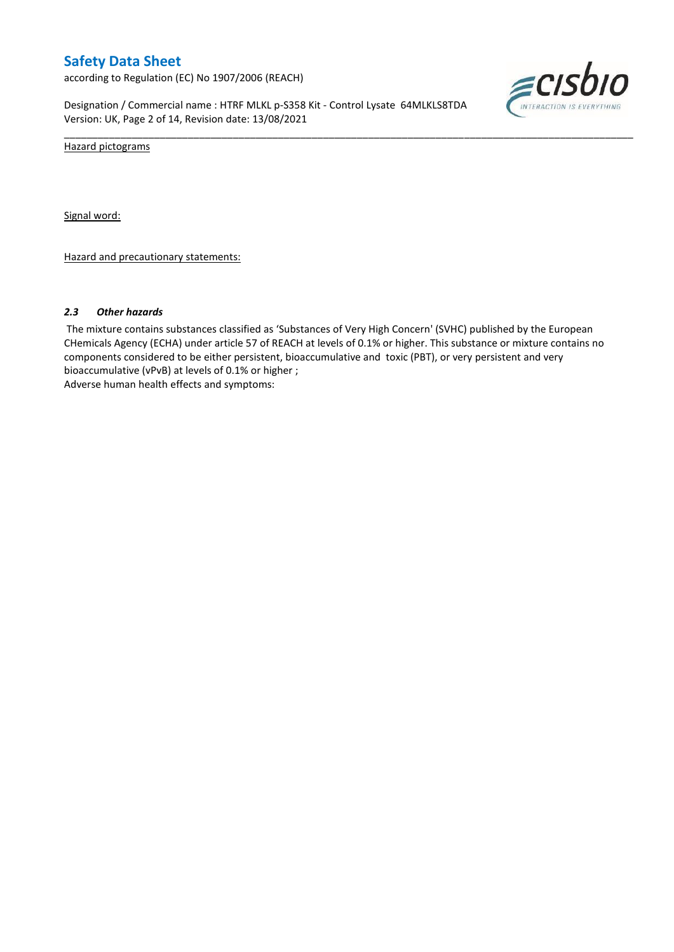according to Regulation (EC) No 1907/2006 (REACH)

Designation / Commercial name : HTRF MLKL p-S358 Kit - Control Lysate 64MLKLS8TDA Version: UK, Page 2 of 14, Revision date: 13/08/2021



Hazard pictograms

Signal word:

Hazard and precautionary statements:

#### *2.3 Other hazards*

The mixture contains substances classified as 'Substances of Very High Concern' (SVHC) published by the European CHemicals Agency (ECHA) under article 57 of REACH at levels of 0.1% or higher. This substance or mixture contains no components considered to be either persistent, bioaccumulative and toxic (PBT), or very persistent and very bioaccumulative (vPvB) at levels of 0.1% or higher ; Adverse human health effects and symptoms:

\_\_\_\_\_\_\_\_\_\_\_\_\_\_\_\_\_\_\_\_\_\_\_\_\_\_\_\_\_\_\_\_\_\_\_\_\_\_\_\_\_\_\_\_\_\_\_\_\_\_\_\_\_\_\_\_\_\_\_\_\_\_\_\_\_\_\_\_\_\_\_\_\_\_\_\_\_\_\_\_\_\_\_\_\_\_\_\_\_\_\_\_\_\_\_\_\_\_\_\_\_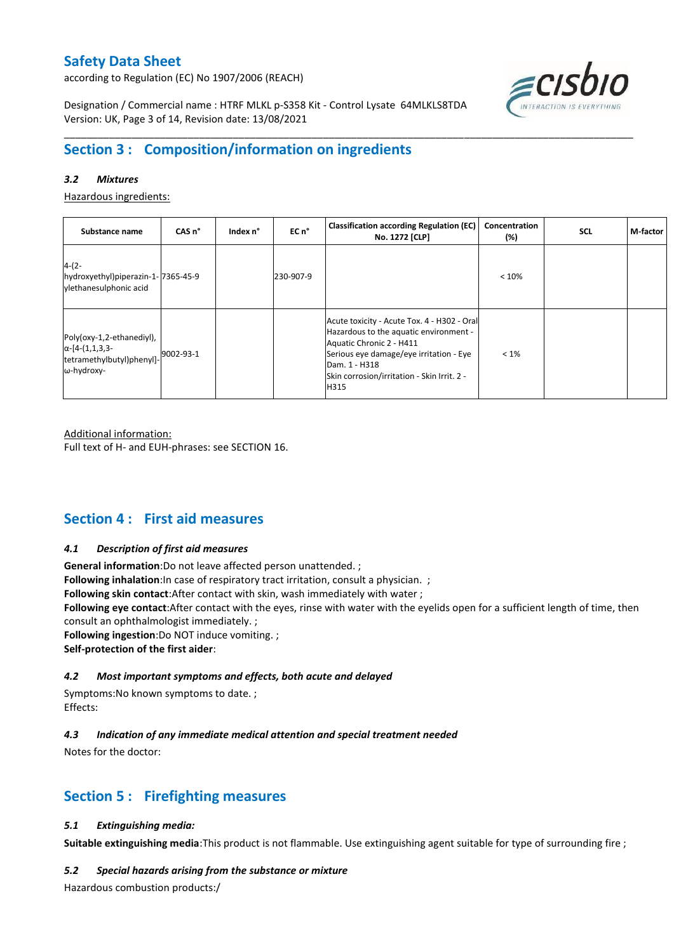according to Regulation (EC) No 1907/2006 (REACH)



Designation / Commercial name : HTRF MLKL p-S358 Kit - Control Lysate 64MLKLS8TDA Version: UK, Page 3 of 14, Revision date: 13/08/2021

# **Section 3 : Composition/information on ingredients**

### *3.2 Mixtures*

Hazardous ingredients:

| Substance name                                                                                 | CAS <sub>n</sub> ° | Index n° | EC n°     | <b>Classification according Regulation (EC)</b><br>No. 1272 [CLP]                                                                                                                                                                    | Concentration<br>(%) | <b>SCL</b> | M-factor |
|------------------------------------------------------------------------------------------------|--------------------|----------|-----------|--------------------------------------------------------------------------------------------------------------------------------------------------------------------------------------------------------------------------------------|----------------------|------------|----------|
| $4-(2-$<br>hydroxyethyl)piperazin-1-7365-45-9<br>ylethanesulphonic acid                        |                    |          | 230-907-9 |                                                                                                                                                                                                                                      | < 10%                |            |          |
| Poly(oxy-1,2-ethanediyl),<br>$\alpha$ -[4-(1,1,3,3-<br>tetramethylbutyl)phenyl]-<br>ω-hydroxy- | 9002-93-1          |          |           | Acute toxicity - Acute Tox. 4 - H302 - Oral<br>Hazardous to the aquatic environment -<br>Aquatic Chronic 2 - H411<br>Serious eye damage/eye irritation - Eye<br>Dam. 1 - H318<br>Skin corrosion/irritation - Skin Irrit. 2 -<br>H315 | $< 1\%$              |            |          |

\_\_\_\_\_\_\_\_\_\_\_\_\_\_\_\_\_\_\_\_\_\_\_\_\_\_\_\_\_\_\_\_\_\_\_\_\_\_\_\_\_\_\_\_\_\_\_\_\_\_\_\_\_\_\_\_\_\_\_\_\_\_\_\_\_\_\_\_\_\_\_\_\_\_\_\_\_\_\_\_\_\_\_\_\_\_\_\_\_\_\_\_\_\_\_\_\_\_\_\_\_

Additional information:

Full text of H- and EUH-phrases: see SECTION 16.

## **Section 4 : First aid measures**

#### *4.1 Description of first aid measures*

**General information**:Do not leave affected person unattended. ;

**Following inhalation**: In case of respiratory tract irritation, consult a physician. ;

**Following skin contact**:After contact with skin, wash immediately with water ;

**Following eye contact**:After contact with the eyes, rinse with water with the eyelids open for a sufficient length of time, then consult an ophthalmologist immediately. ;

**Following ingestion**:Do NOT induce vomiting. ;

**Self-protection of the first aider**:

#### *4.2 Most important symptoms and effects, both acute and delayed*

Symptoms:No known symptoms to date. ; Effects:

### *4.3 Indication of any immediate medical attention and special treatment needed*

Notes for the doctor:

## **Section 5 : Firefighting measures**

#### *5.1 Extinguishing media:*

**Suitable extinguishing media**:This product is not flammable. Use extinguishing agent suitable for type of surrounding fire ;

#### *5.2 Special hazards arising from the substance or mixture*

Hazardous combustion products:/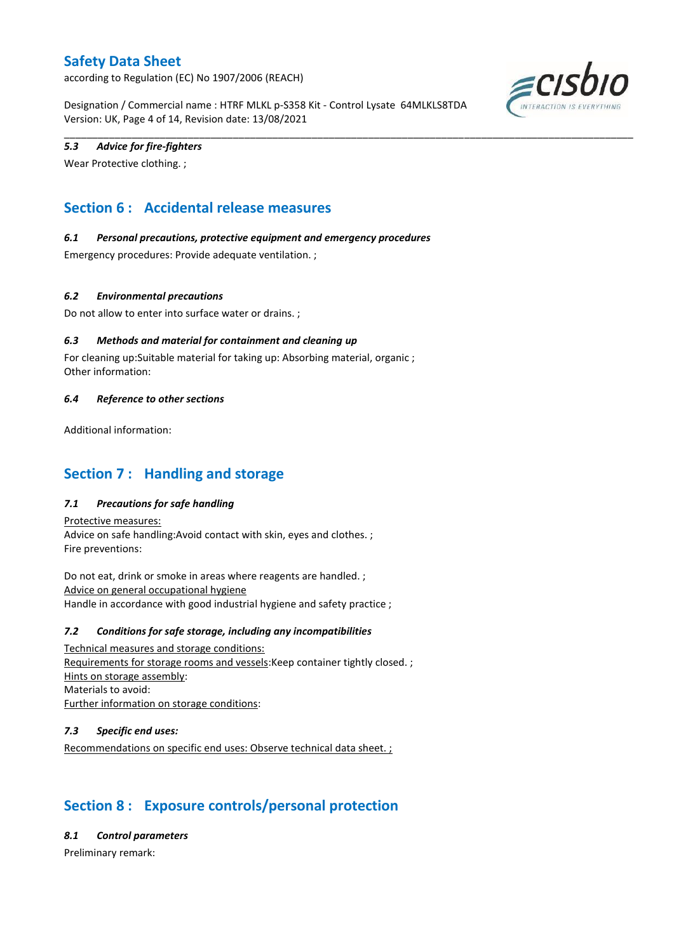according to Regulation (EC) No 1907/2006 (REACH)

Designation / Commercial name : HTRF MLKL p-S358 Kit - Control Lysate 64MLKLS8TDA Version: UK, Page 4 of 14, Revision date: 13/08/2021

\_\_\_\_\_\_\_\_\_\_\_\_\_\_\_\_\_\_\_\_\_\_\_\_\_\_\_\_\_\_\_\_\_\_\_\_\_\_\_\_\_\_\_\_\_\_\_\_\_\_\_\_\_\_\_\_\_\_\_\_\_\_\_\_\_\_\_\_\_\_\_\_\_\_\_\_\_\_\_\_\_\_\_\_\_\_\_\_\_\_\_\_\_\_\_\_\_\_\_\_\_



### *5.3 Advice for fire-fighters*

Wear Protective clothing. ;

# **Section 6 : Accidental release measures**

### *6.1 Personal precautions, protective equipment and emergency procedures*

Emergency procedures: Provide adequate ventilation. ;

### *6.2 Environmental precautions*

Do not allow to enter into surface water or drains. ;

### *6.3 Methods and material for containment and cleaning up*

For cleaning up:Suitable material for taking up: Absorbing material, organic ; Other information:

#### *6.4 Reference to other sections*

Additional information:

## **Section 7 : Handling and storage**

### *7.1 Precautions for safe handling*

Protective measures: Advice on safe handling:Avoid contact with skin, eyes and clothes. ; Fire preventions:

Do not eat, drink or smoke in areas where reagents are handled. ; Advice on general occupational hygiene Handle in accordance with good industrial hygiene and safety practice ;

#### *7.2 Conditions for safe storage, including any incompatibilities*

Technical measures and storage conditions: Requirements for storage rooms and vessels:Keep container tightly closed. ; Hints on storage assembly: Materials to avoid: Further information on storage conditions:

#### *7.3 Specific end uses:*

Recommendations on specific end uses: Observe technical data sheet. ;

# **Section 8 : Exposure controls/personal protection**

*8.1 Control parameters*

Preliminary remark: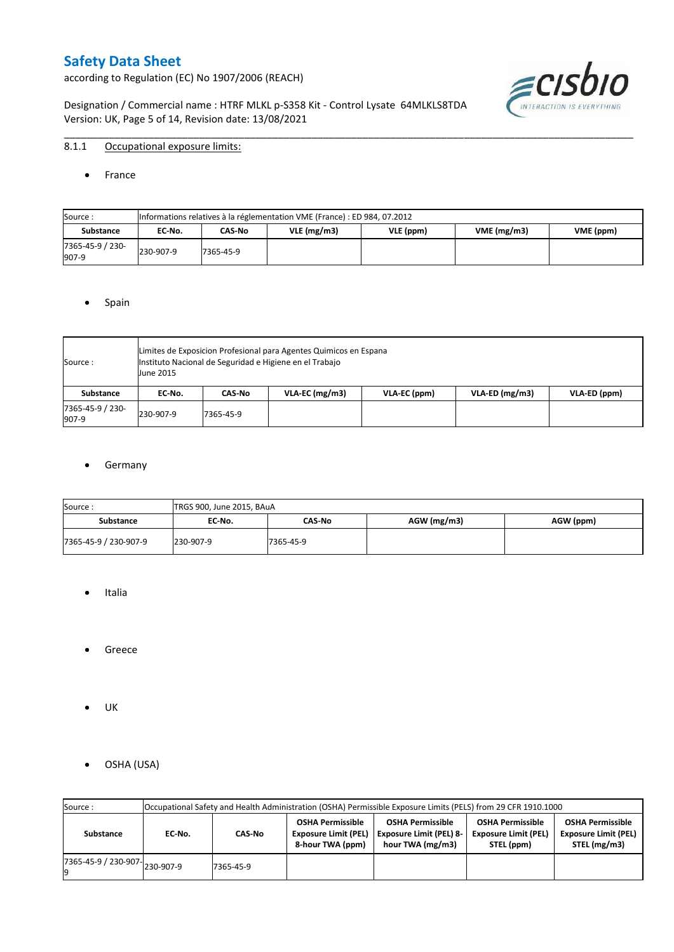according to Regulation (EC) No 1907/2006 (REACH)

Designation / Commercial name : HTRF MLKL p-S358 Kit - Control Lysate 64MLKLS8TDA Version: UK, Page 5 of 14, Revision date: 13/08/2021



### 8.1.1 Occupational exposure limits:

• France

| Source:                   |           | Informations relatives à la réglementation VME (France) : ED 984, 07.2012 |               |           |            |           |  |  |  |  |  |  |  |
|---------------------------|-----------|---------------------------------------------------------------------------|---------------|-----------|------------|-----------|--|--|--|--|--|--|--|
| <b>Substance</b>          | EC No.    | CAS-No                                                                    | $VLE$ (mg/m3) | VLE (ppm) | VME(mg/m3) | VME (ppm) |  |  |  |  |  |  |  |
| 7365-45-9 / 230-<br>907-9 | 230-907-9 | 7365-45-9                                                                 |               |           |            |           |  |  |  |  |  |  |  |

\_\_\_\_\_\_\_\_\_\_\_\_\_\_\_\_\_\_\_\_\_\_\_\_\_\_\_\_\_\_\_\_\_\_\_\_\_\_\_\_\_\_\_\_\_\_\_\_\_\_\_\_\_\_\_\_\_\_\_\_\_\_\_\_\_\_\_\_\_\_\_\_\_\_\_\_\_\_\_\_\_\_\_\_\_\_\_\_\_\_\_\_\_\_\_\_\_\_\_\_\_

#### • Spain

| Source:                   | <b>June 2015</b> | Limites de Exposicion Profesional para Agentes Quimicos en Espana<br>Instituto Nacional de Seguridad e Higiene en el Trabajo |                  |              |                  |              |  |  |  |  |  |  |  |
|---------------------------|------------------|------------------------------------------------------------------------------------------------------------------------------|------------------|--------------|------------------|--------------|--|--|--|--|--|--|--|
| Substance                 | EC No.           | CAS-No                                                                                                                       | $VLA-EC$ (mg/m3) | VLA-EC (ppm) | $VLA-ED (mg/m3)$ | VLA-ED (ppm) |  |  |  |  |  |  |  |
| 7365-45-9 / 230-<br>907-9 | 230-907-9        | 7365-45-9                                                                                                                    |                  |              |                  |              |  |  |  |  |  |  |  |

#### **•** Germany

| Source:               | TRGS 900, June 2015, BAuA |               |             |           |
|-----------------------|---------------------------|---------------|-------------|-----------|
| <b>Substance</b>      | EC No.                    | <b>CAS-No</b> | AGW (mg/m3) | AGW (ppm) |
| 7365-45-9 / 230-907-9 | 230-907-9                 | 7365-45-9     |             |           |

- Italia
- **•** Greece
- UK
- OSHA (USA)

| Source:              |           | Occupational Safety and Health Administration (OSHA) Permissible Exposure Limits (PELS) from 29 CFR 1910.1000 |                                                                            |                                                                               |                                                                                                                                                |  |  |  |  |  |  |  |  |
|----------------------|-----------|---------------------------------------------------------------------------------------------------------------|----------------------------------------------------------------------------|-------------------------------------------------------------------------------|------------------------------------------------------------------------------------------------------------------------------------------------|--|--|--|--|--|--|--|--|
| Substance            | EC-No.    | CAS-No                                                                                                        | <b>OSHA Permissible</b><br><b>Exposure Limit (PEL)</b><br>8-hour TWA (ppm) | <b>OSHA Permissible</b><br><b>Exposure Limit (PEL) 8-</b><br>hour TWA (mg/m3) | <b>OSHA Permissible</b><br><b>OSHA Permissible</b><br><b>Exposure Limit (PEL)</b><br><b>Exposure Limit (PEL)</b><br>STEL (mg/m3)<br>STEL (ppm) |  |  |  |  |  |  |  |  |
| 7365-45-9 / 230-907- | 230-907-9 | 7365-45-9                                                                                                     |                                                                            |                                                                               |                                                                                                                                                |  |  |  |  |  |  |  |  |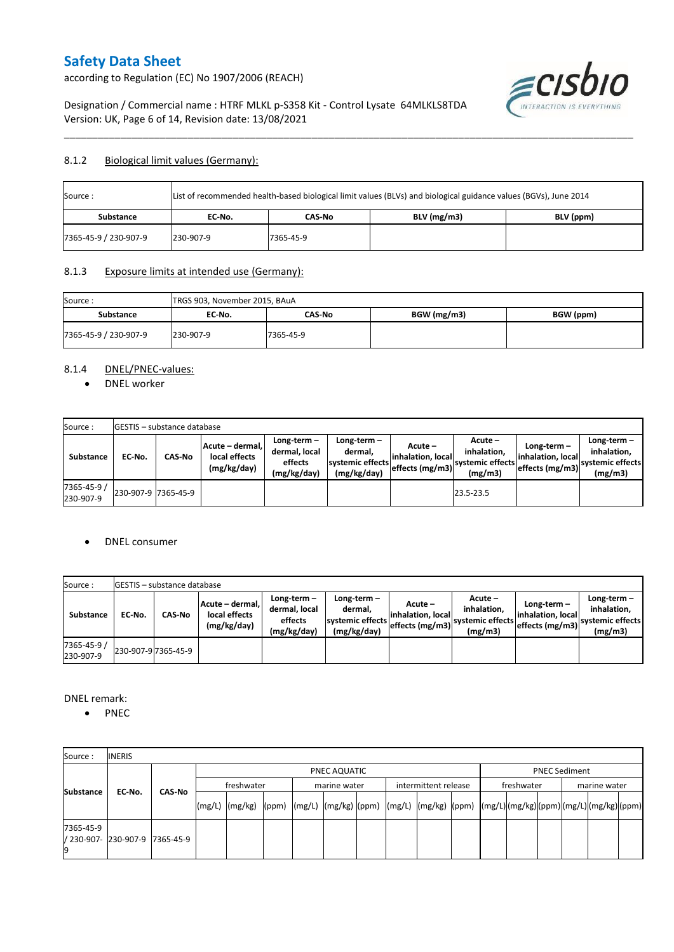according to Regulation (EC) No 1907/2006 (REACH)



Designation / Commercial name : HTRF MLKL p-S358 Kit - Control Lysate 64MLKLS8TDA Version: UK, Page 6 of 14, Revision date: 13/08/2021

### 8.1.2 Biological limit values (Germany):

| Source:               |           |           | List of recommended health-based biological limit values (BLVs) and biological guidance values (BGVs), June 2014 |  |
|-----------------------|-----------|-----------|------------------------------------------------------------------------------------------------------------------|--|
| <b>Substance</b>      | EC No.    | CAS-No    | BLV (ppm)                                                                                                        |  |
| 7365-45-9 / 230-907-9 | 230-907-9 | 7365-45-9 |                                                                                                                  |  |

\_\_\_\_\_\_\_\_\_\_\_\_\_\_\_\_\_\_\_\_\_\_\_\_\_\_\_\_\_\_\_\_\_\_\_\_\_\_\_\_\_\_\_\_\_\_\_\_\_\_\_\_\_\_\_\_\_\_\_\_\_\_\_\_\_\_\_\_\_\_\_\_\_\_\_\_\_\_\_\_\_\_\_\_\_\_\_\_\_\_\_\_\_\_\_\_\_\_\_\_\_

### 8.1.3 Exposure limits at intended use (Germany):

| Source:               | TRGS 903, November 2015, BAuA |           |             |           |
|-----------------------|-------------------------------|-----------|-------------|-----------|
| <b>Substance</b>      | EC No.                        | CAS-No    | BGW (mg/m3) | BGW (ppm) |
| 7365-45-9 / 230-907-9 | 230-907-9                     | 7365-45-9 |             |           |

### 8.1.4 DNEL/PNEC-values:

• DNEL worker

| Source:                  |                     | <b>GESTIS</b> – substance database |                                                 |                                                       |                                                             |                                                  |                                                       |                                                         |                                                             |
|--------------------------|---------------------|------------------------------------|-------------------------------------------------|-------------------------------------------------------|-------------------------------------------------------------|--------------------------------------------------|-------------------------------------------------------|---------------------------------------------------------|-------------------------------------------------------------|
| Substance                | EC No.              | <b>CAS-No</b>                      | Acute - dermal.<br>local effects<br>(mg/kg/day) | Long-term-<br>dermal, local<br>effects<br>(mg/kg/day) | $Long-term -$<br>dermal.<br>systemic effects<br>(mg/kg/day) | Acute –<br>linhalation. local<br>effects (mg/m3) | Acute -<br>inhalation.<br>systemic effects<br>(mg/m3) | Long-term -<br>linhalation. locall<br>effects $(mg/m3)$ | $Long-term -$<br>inhalation.<br>systemic effects<br>(mg/m3) |
| 7365-45-9 /<br>230-907-9 | 230-907-9 7365-45-9 |                                    |                                                 |                                                       |                                                             |                                                  | 23.5-23.5                                             |                                                         |                                                             |

#### DNEL consumer

| Source:                  |        | <b>IGESTIS - substance database</b> |                                                 |                                                          |                                                          |                                                   |                                                       |                                                        |                                                             |
|--------------------------|--------|-------------------------------------|-------------------------------------------------|----------------------------------------------------------|----------------------------------------------------------|---------------------------------------------------|-------------------------------------------------------|--------------------------------------------------------|-------------------------------------------------------------|
| Substance                | EC-No. | CAS-No                              | Acute - dermal,<br>local effects<br>(mg/kg/day) | Long-term $-$<br>dermal, local<br>effects<br>(mg/kg/day) | Long-term-<br>dermal,<br>systemic effects<br>(mg/kg/day) | Acute –<br>linhalation. locall<br>effects (mg/m3) | Acute -<br>inhalation.<br>systemic effects<br>(mg/m3) | $Long-term -$<br>linhalation. local<br>effects (mg/m3) | Long-term $-$<br>inhalation.<br>systemic effects<br>(mg/m3) |
| 7365-45-9 /<br>230-907-9 |        | 230-907-9 7365-45-9                 |                                                 |                                                          |                                                          |                                                   |                                                       |                                                        |                                                             |

DNEL remark:

• PNEC

| Source:          | <b>INERIS</b>                  |        |                                                                                                                    |  |              |  |                      |  |            |                      |              |  |
|------------------|--------------------------------|--------|--------------------------------------------------------------------------------------------------------------------|--|--------------|--|----------------------|--|------------|----------------------|--------------|--|
|                  |                                |        |                                                                                                                    |  | PNEC AQUATIC |  |                      |  |            | <b>PNEC Sediment</b> |              |  |
| <b>Substance</b> |                                | CAS-No | freshwater                                                                                                         |  | marine water |  | intermittent release |  | freshwater |                      | marine water |  |
|                  | EC-No.                         |        | [(mg/L)  (mg/kg)  (ppm)  (mg/L)  (mg/kg)  (ppm)  (mg/L)  (mg/kg)  (ppm)  (mg/L) (mg/kg) (ppm) (mg/L) (mg/kg) (ppm) |  |              |  |                      |  |            |                      |              |  |
| 7365-45-9        | / 230-907- 230-907-9 7365-45-9 |        |                                                                                                                    |  |              |  |                      |  |            |                      |              |  |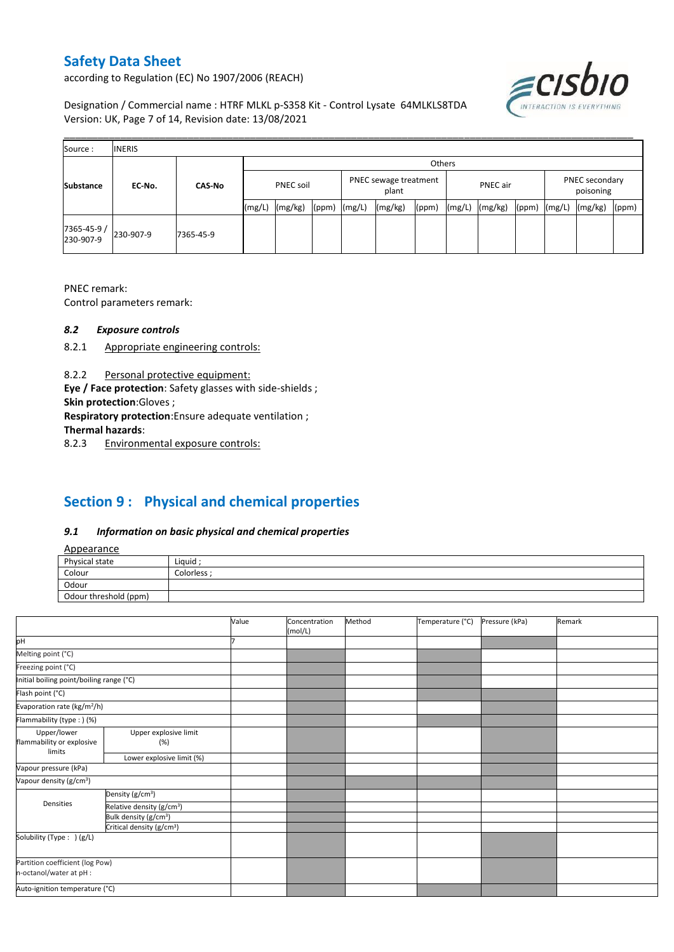according to Regulation (EC) No 1907/2006 (REACH)



Designation / Commercial name : HTRF MLKL p-S358 Kit - Control Lysate 64MLKLS8TDA Version: UK, Page 7 of 14, Revision date: 13/08/2021

| Source:                 | <b>INERIS</b> |               |                  |         |        |                                |         |       |          |         |       |                             |         |       |
|-------------------------|---------------|---------------|------------------|---------|--------|--------------------------------|---------|-------|----------|---------|-------|-----------------------------|---------|-------|
|                         |               |               |                  |         | Others |                                |         |       |          |         |       |                             |         |       |
| <b>Substance</b>        | EC-No.        | <b>CAS-No</b> | <b>PNEC soil</b> |         |        | PNEC sewage treatment<br>plant |         |       | PNEC air |         |       | PNEC secondary<br>poisoning |         |       |
|                         |               |               | (mg/L)           | (mg/kg) | (ppm)  | (mg/L)                         | (mg/kg) | (ppm) | (mg/L)   | (mg/kg) | (ppm) | (mg/L)                      | (mg/kg) | (ppm) |
| 7365-45-9/<br>230-907-9 | 230-907-9     | 7365-45-9     |                  |         |        |                                |         |       |          |         |       |                             |         |       |

\_\_\_\_\_\_\_\_\_\_\_\_\_\_\_\_\_\_\_\_\_\_\_\_\_\_\_\_\_\_\_\_\_\_\_\_\_\_\_\_\_\_\_\_\_\_\_\_\_\_\_\_\_\_\_\_\_\_\_\_\_\_\_\_\_\_\_\_\_\_\_\_\_\_\_\_\_\_\_\_\_\_\_\_\_\_\_\_\_\_\_\_\_\_\_\_\_\_\_\_\_

PNEC remark:

Control parameters remark:

#### *8.2 Exposure controls*

- 8.2.1 Appropriate engineering controls:
- 8.2.2 Personal protective equipment:

**Eye / Face protection**: Safety glasses with side-shields ;

**Skin protection**:Gloves ;

**Respiratory protection**:Ensure adequate ventilation ;

**Thermal hazards**:

8.2.3 Environmental exposure controls:

# **Section 9 : Physical and chemical properties**

#### *9.1 Information on basic physical and chemical properties*

|--|

| <b>Appearance</b>                                      |            |
|--------------------------------------------------------|------------|
| Physical state                                         | Liquid     |
| Colour<br>the control of the control of the control of | Colorless: |
| Odour                                                  |            |
| Odour threshold (ppm)                                  |            |

|                                          |                                       | Value | Concentration<br>(mol/L) | Method | Temperature (°C) | Pressure (kPa) | Remark |
|------------------------------------------|---------------------------------------|-------|--------------------------|--------|------------------|----------------|--------|
| þН                                       |                                       |       |                          |        |                  |                |        |
| Melting point (°C)                       |                                       |       |                          |        |                  |                |        |
| Freezing point (°C)                      |                                       |       |                          |        |                  |                |        |
| Initial boiling point/boiling range (°C) |                                       |       |                          |        |                  |                |        |
| Flash point (°C)                         |                                       |       |                          |        |                  |                |        |
| Evaporation rate (kg/m <sup>2</sup> /h)  |                                       |       |                          |        |                  |                |        |
| Flammability (type: ) (%)                |                                       |       |                          |        |                  |                |        |
| Upper/lower                              | Upper explosive limit                 |       |                          |        |                  |                |        |
| flammability or explosive                | (%)                                   |       |                          |        |                  |                |        |
| limits                                   | Lower explosive limit (%)             |       |                          |        |                  |                |        |
| Vapour pressure (kPa)                    |                                       |       |                          |        |                  |                |        |
| Vapour density (g/cm <sup>3</sup> )      |                                       |       |                          |        |                  |                |        |
|                                          | Density (g/cm <sup>3</sup> )          |       |                          |        |                  |                |        |
| Densities                                | Relative density (g/cm <sup>3</sup> ) |       |                          |        |                  |                |        |
|                                          | Bulk density (g/cm <sup>3</sup> )     |       |                          |        |                  |                |        |
|                                          | Critical density (g/cm <sup>3</sup> ) |       |                          |        |                  |                |        |
| Solubility (Type: ) (g/L)                |                                       |       |                          |        |                  |                |        |
| n-octanol/water at pH :                  | Partition coefficient (log Pow)       |       |                          |        |                  |                |        |
| Auto-ignition temperature (°C)           |                                       |       |                          |        |                  |                |        |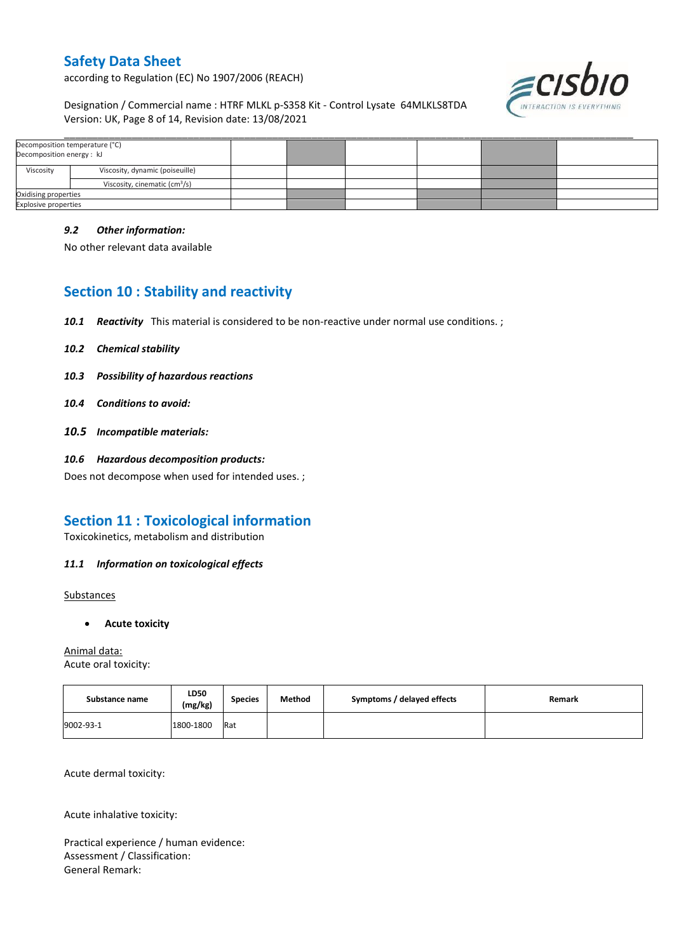according to Regulation (EC) No 1907/2006 (REACH)



Designation / Commercial name : HTRF MLKL p-S358 Kit - Control Lysate 64MLKLS8TDA Version: UK, Page 8 of 14, Revision date: 13/08/2021

| Decomposition temperature (°C)<br>Decomposition energy: kJ |                                           |  |  |  |
|------------------------------------------------------------|-------------------------------------------|--|--|--|
| Viscosity                                                  | Viscosity, dynamic (poiseuille)           |  |  |  |
|                                                            | Viscosity, cinematic (cm <sup>3</sup> /s) |  |  |  |
| Oxidising properties                                       |                                           |  |  |  |
| <b>Explosive properties</b>                                |                                           |  |  |  |

\_\_\_\_\_\_\_\_\_\_\_\_\_\_\_\_\_\_\_\_\_\_\_\_\_\_\_\_\_\_\_\_\_\_\_\_\_\_\_\_\_\_\_\_\_\_\_\_\_\_\_\_\_\_\_\_\_\_\_\_\_\_\_\_\_\_\_\_\_\_\_\_\_\_\_\_\_\_\_\_\_\_\_\_\_\_\_\_\_\_\_\_\_\_\_\_\_\_\_\_\_

#### *9.2 Other information:*

No other relevant data available

# **Section 10 : Stability and reactivity**

- *10.1 Reactivity* This material is considered to be non-reactive under normal use conditions. ;
- *10.2 Chemical stability*
- *10.3 Possibility of hazardous reactions*
- *10.4 Conditions to avoid:*
- *10.5 Incompatible materials:*
- *10.6 Hazardous decomposition products:*

Does not decompose when used for intended uses. ;

## **Section 11 : Toxicological information**

Toxicokinetics, metabolism and distribution

### *11.1 Information on toxicological effects*

**Substances** 

**Acute toxicity**

Animal data: Acute oral toxicity:

| Substance name | LD50<br>(mg/kg) | <b>Species</b> | Method | Symptoms / delayed effects | Remark |
|----------------|-----------------|----------------|--------|----------------------------|--------|
| 9002-93-1      | 1800-1800       | <b>Rat</b>     |        |                            |        |

Acute dermal toxicity:

Acute inhalative toxicity:

Practical experience / human evidence: Assessment / Classification: General Remark: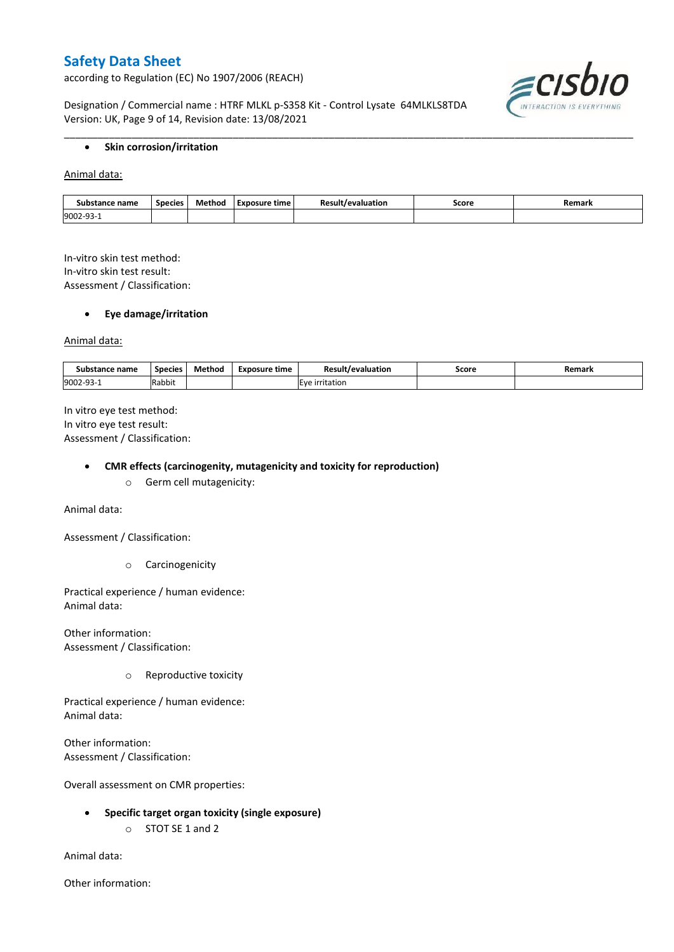according to Regulation (EC) No 1907/2006 (REACH)

Designation / Commercial name : HTRF MLKL p-S358 Kit - Control Lysate 64MLKLS8TDA Version: UK, Page 9 of 14, Revision date: 13/08/2021



#### **•** Skin corrosion/irritation

Animal data:

| nce name<br>Sut<br>stance | <b>Species</b> | Method | Exposure time | /evaluation | Score<br>. | Remarl |
|---------------------------|----------------|--------|---------------|-------------|------------|--------|
| 9002-<br><u>ے ب</u>       |                |        |               |             |            |        |

\_\_\_\_\_\_\_\_\_\_\_\_\_\_\_\_\_\_\_\_\_\_\_\_\_\_\_\_\_\_\_\_\_\_\_\_\_\_\_\_\_\_\_\_\_\_\_\_\_\_\_\_\_\_\_\_\_\_\_\_\_\_\_\_\_\_\_\_\_\_\_\_\_\_\_\_\_\_\_\_\_\_\_\_\_\_\_\_\_\_\_\_\_\_\_\_\_\_\_\_\_

In-vitro skin test method: In-vitro skin test result: Assessment / Classification:

#### **Eye damage/irritation**

Animal data:

| : name<br>substance | <b>Species</b> | $ -$<br>Method | <b>Exposure time</b> | Result/evaluation | Score | Remark |
|---------------------|----------------|----------------|----------------------|-------------------|-------|--------|
| 9002-93-1           | .<br>Rabbit    |                |                      | irritation        |       |        |

In vitro eye test method: In vitro eye test result: Assessment / Classification:

#### **CMR effects (carcinogenity, mutagenicity and toxicity for reproduction)**

o Germ cell mutagenicity:

Animal data:

Assessment / Classification:

o Carcinogenicity

Practical experience / human evidence: Animal data:

Other information: Assessment / Classification:

o Reproductive toxicity

Practical experience / human evidence: Animal data:

Other information: Assessment / Classification:

Overall assessment on CMR properties:

- **Specific target organ toxicity (single exposure)**
	- o STOT SE 1 and 2

Animal data:

Other information: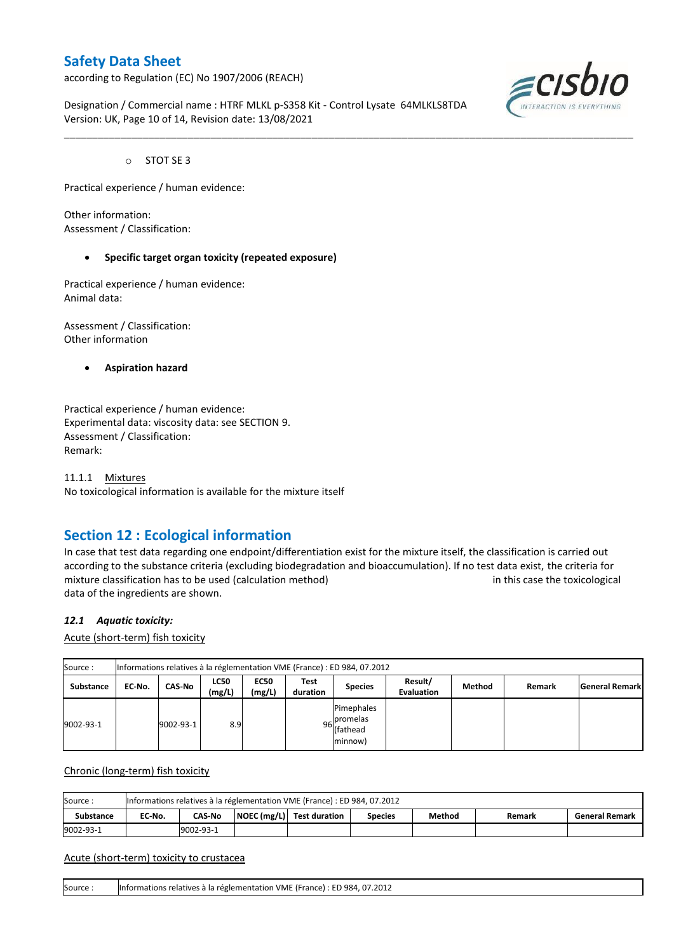according to Regulation (EC) No 1907/2006 (REACH)

Designation / Commercial name : HTRF MLKL p-S358 Kit - Control Lysate 64MLKLS8TDA Version: UK, Page 10 of 14, Revision date: 13/08/2021

\_\_\_\_\_\_\_\_\_\_\_\_\_\_\_\_\_\_\_\_\_\_\_\_\_\_\_\_\_\_\_\_\_\_\_\_\_\_\_\_\_\_\_\_\_\_\_\_\_\_\_\_\_\_\_\_\_\_\_\_\_\_\_\_\_\_\_\_\_\_\_\_\_\_\_\_\_\_\_\_\_\_\_\_\_\_\_\_\_\_\_\_\_\_\_\_\_\_\_\_\_



o STOT SE 3

Practical experience / human evidence:

Other information: Assessment / Classification:

#### **Specific target organ toxicity (repeated exposure)**

Practical experience / human evidence: Animal data:

Assessment / Classification: Other information

**Aspiration hazard**

Practical experience / human evidence: Experimental data: viscosity data: see SECTION 9. Assessment / Classification: Remark:

11.1.1 Mixtures No toxicological information is available for the mixture itself

## **Section 12 : Ecological information**

In case that test data regarding one endpoint/differentiation exist for the mixture itself, the classification is carried out according to the substance criteria (excluding biodegradation and bioaccumulation). If no test data exist, the criteria for mixture classification has to be used (calculation method) in this case the toxicological data of the ingredients are shown.

#### *12.1 Aquatic toxicity:*

Acute (short-term) fish toxicity

| Source:          | Informations relatives à la réglementation VME (France) : ED 984, 07.2012 |               |                       |                       |                  |                                                  |                              |        |        |                       |  |  |  |
|------------------|---------------------------------------------------------------------------|---------------|-----------------------|-----------------------|------------------|--------------------------------------------------|------------------------------|--------|--------|-----------------------|--|--|--|
| <b>Substance</b> | EC No.                                                                    | <b>CAS-No</b> | <b>LC50</b><br>(mg/L) | <b>EC50</b><br>(mg/L) | Test<br>duration | <b>Species</b>                                   | Result/<br><b>Evaluation</b> | Method | Remark | <b>General Remark</b> |  |  |  |
| 9002-93-1        |                                                                           | 9002-93-1     | 8.9                   |                       |                  | Pimephales<br>96 promelas<br>(fathead<br>minnow) |                              |        |        |                       |  |  |  |

Chronic (long-term) fish toxicity

| Source:          |        | Informations relatives à la réglementation VME (France) : ED 984, 07.2012                          |  |  |  |  |  |  |  |  |  |  |  |
|------------------|--------|----------------------------------------------------------------------------------------------------|--|--|--|--|--|--|--|--|--|--|--|
| <b>Substance</b> | EC-No. | NOEC (mg/L) Test duration<br>Method<br><b>CAS-No</b><br><b>General Remark</b><br>Species<br>Remark |  |  |  |  |  |  |  |  |  |  |  |
| 9002-93-1        |        | 9002-93-1                                                                                          |  |  |  |  |  |  |  |  |  |  |  |

#### Acute (short-term) toxicity to crustacea

Source : Informations relatives à la réglementation VME (France) : ED 984, 07.2012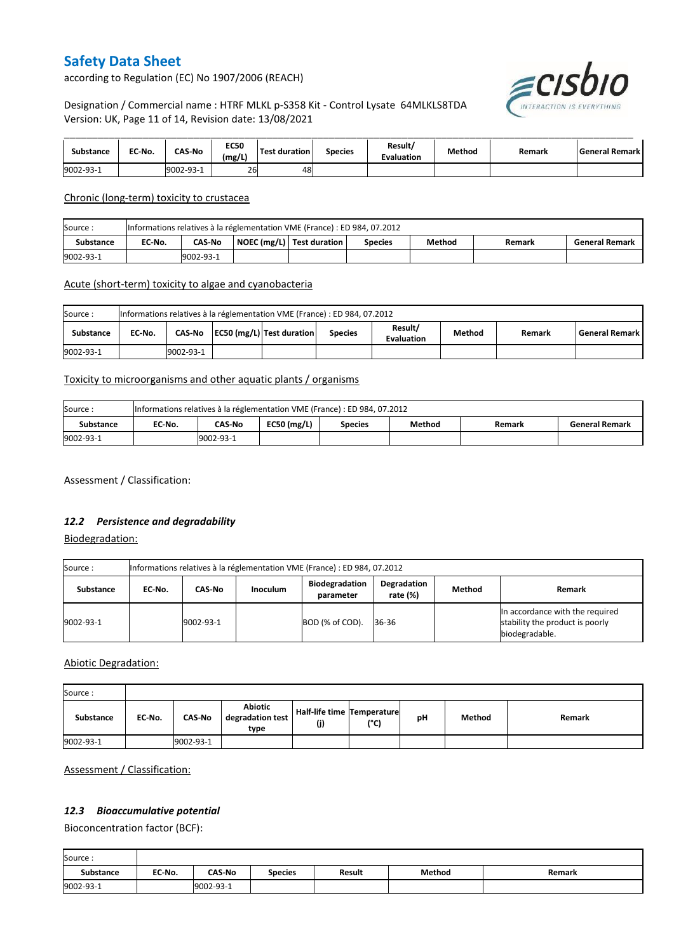according to Regulation (EC) No 1907/2006 (REACH)



Designation / Commercial name : HTRF MLKL p-S358 Kit - Control Lysate 64MLKLS8TDA Version: UK, Page 11 of 14, Revision date: 13/08/2021

| Substance | EC No. | <b>CAS-No</b> | <b>EC50</b><br>(mg/L) | Test duration | <b>Species</b> | Result/<br><b>Evaluation</b> | Method | Remark | General Remark |
|-----------|--------|---------------|-----------------------|---------------|----------------|------------------------------|--------|--------|----------------|
| 9002-93-1 |        | 9002-93-1     | 26                    | 48            |                |                              |        |        |                |

Chronic (long-term) toxicity to crustacea

| Source:          | Informations relatives à la réglementation VME (France) : ED 984, 07.2012 |                                                                                                             |  |  |  |  |  |  |  |  |  |  |
|------------------|---------------------------------------------------------------------------|-------------------------------------------------------------------------------------------------------------|--|--|--|--|--|--|--|--|--|--|
| <b>Substance</b> | EC-No.                                                                    | NOEC (mg/L)   Test duration<br>Method<br><b>CAS-No</b><br><b>Species</b><br><b>General Remark</b><br>Remark |  |  |  |  |  |  |  |  |  |  |
| 9002-93-1        |                                                                           | 9002-93-1                                                                                                   |  |  |  |  |  |  |  |  |  |  |

#### Acute (short-term) toxicity to algae and cyanobacteria

| Source:   | Informations relatives à la réglementation VME (France) : ED 984, 07.2012 |           |  |                           |                |                       |        |        |                    |  |  |  |
|-----------|---------------------------------------------------------------------------|-----------|--|---------------------------|----------------|-----------------------|--------|--------|--------------------|--|--|--|
| Substance | EC No.                                                                    | CAS-No    |  | EC50 (mg/L) Test duration | <b>Species</b> | Result/<br>Evaluation | Method | Remark | l General Remark I |  |  |  |
| 9002-93-1 |                                                                           | 9002-93-1 |  |                           |                |                       |        |        |                    |  |  |  |

#### Toxicity to microorganisms and other aquatic plants / organisms

| Source:   | Informations relatives à la réglementation VME (France) : ED 984, 07.2012 |           |               |                |        |        |                       |  |
|-----------|---------------------------------------------------------------------------|-----------|---------------|----------------|--------|--------|-----------------------|--|
| Substance | EC No.                                                                    | CAS-No    | EC50 $(mg/L)$ | <b>Species</b> | Method | Remark | <b>General Remark</b> |  |
| 9002-93-1 |                                                                           | 9002-93-1 |               |                |        |        |                       |  |

Assessment / Classification:

#### *12.2 Persistence and degradability*

Biodegradation:

| Source:   | Informations relatives à la réglementation VME (France) : ED 984, 07.2012 |           |                 |                                    |                         |        |                                                                                      |  |  |
|-----------|---------------------------------------------------------------------------|-----------|-----------------|------------------------------------|-------------------------|--------|--------------------------------------------------------------------------------------|--|--|
| Substance | EC No.                                                                    | CAS-No    | <b>Inoculum</b> | <b>Biodegradation</b><br>parameter | Degradation<br>rate (%) | Method | Remark                                                                               |  |  |
| 9002-93-1 |                                                                           | 9002-93-1 |                 | BOD (% of COD).                    | 36-36                   |        | In accordance with the required<br>stability the product is poorly<br>biodegradable. |  |  |

Abiotic Degradation:

| Source:          |        |               |                                     |                                   |      |    |        |        |
|------------------|--------|---------------|-------------------------------------|-----------------------------------|------|----|--------|--------|
| <b>Substance</b> | EC-No. | <b>CAS-No</b> | Abiotic<br>degradation test<br>type | Half-life time Temperature<br>(j) | (°C) | рH | Method | Remark |
| 9002-93-1        |        | 9002-93-1     |                                     |                                   |      |    |        |        |

Assessment / Classification:

### *12.3 Bioaccumulative potential*

Bioconcentration factor (BCF):

Ē

| Source:          |        |               |         |        |        |        |
|------------------|--------|---------------|---------|--------|--------|--------|
| <b>Substance</b> | EC No. | <b>CAS-No</b> | Species | Result | Method | Remark |
| 9002-93-1        |        | 9002-93-1     |         |        |        |        |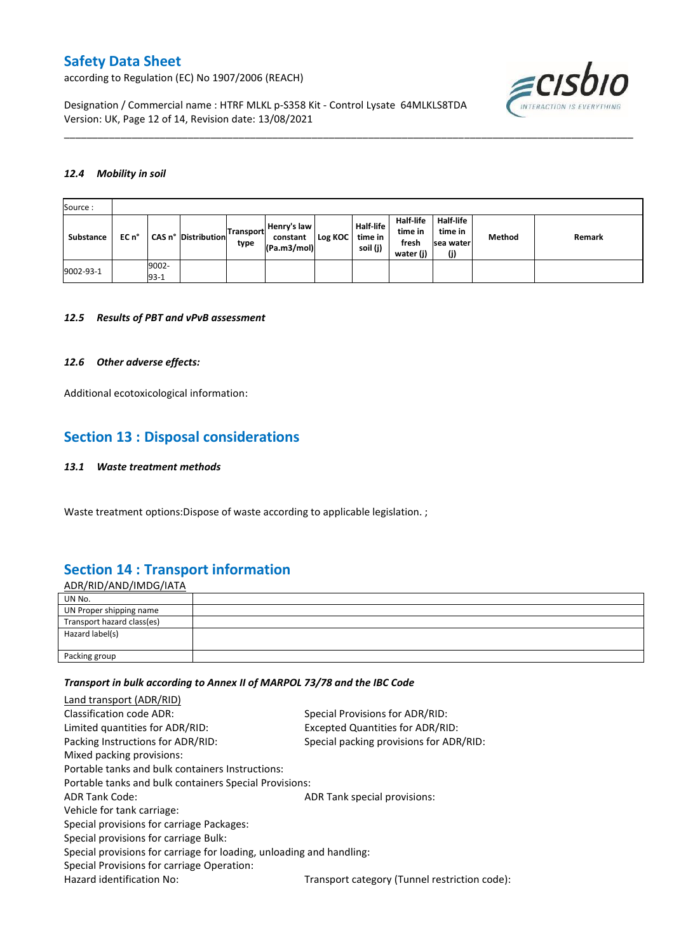according to Regulation (EC) No 1907/2006 (REACH)



Designation / Commercial name : HTRF MLKL p-S358 Kit - Control Lysate 64MLKLS8TDA Version: UK, Page 12 of 14, Revision date: 13/08/2021

#### *12.4 Mobility in soil*

| Source:   |       |                 |                     |                          |                                        |         |                                         |                                            |                                                  |        |        |
|-----------|-------|-----------------|---------------------|--------------------------|----------------------------------------|---------|-----------------------------------------|--------------------------------------------|--------------------------------------------------|--------|--------|
| Substance | EC n° |                 | CAS n° Distribution | <b>Transport</b><br>type | Henry's law<br>constant<br>(Pa.m3/mol) | Log KOC | <b>Half-life</b><br>time in<br>soil (j) | Half-life<br>time in<br>fresh<br>water (j) | <b>Half-life</b><br>time in<br>Isea water<br>(j) | Method | Remark |
| 9002-93-1 |       | 9002-<br>$93-1$ |                     |                          |                                        |         |                                         |                                            |                                                  |        |        |

\_\_\_\_\_\_\_\_\_\_\_\_\_\_\_\_\_\_\_\_\_\_\_\_\_\_\_\_\_\_\_\_\_\_\_\_\_\_\_\_\_\_\_\_\_\_\_\_\_\_\_\_\_\_\_\_\_\_\_\_\_\_\_\_\_\_\_\_\_\_\_\_\_\_\_\_\_\_\_\_\_\_\_\_\_\_\_\_\_\_\_\_\_\_\_\_\_\_\_\_\_

#### *12.5 Results of PBT and vPvB assessment*

#### *12.6 Other adverse effects:*

Additional ecotoxicological information:

## **Section 13 : Disposal considerations**

#### *13.1 Waste treatment methods*

Waste treatment options:Dispose of waste according to applicable legislation. ;

## **Section 14 : Transport information**

ADR/RID/AND/IMDG/IATA UN No. UN Proper shipping name Transport hazard class(es) Hazard label(s) Packing group

#### *Transport in bulk according to Annex II of MARPOL 73/78 and the IBC Code*

| Land transport (ADR/RID)                                             |                                               |
|----------------------------------------------------------------------|-----------------------------------------------|
| Classification code ADR:                                             | Special Provisions for ADR/RID:               |
| Limited quantities for ADR/RID:                                      | Excepted Quantities for ADR/RID:              |
| Packing Instructions for ADR/RID:                                    | Special packing provisions for ADR/RID:       |
| Mixed packing provisions:                                            |                                               |
| Portable tanks and bulk containers Instructions:                     |                                               |
| Portable tanks and bulk containers Special Provisions:               |                                               |
| <b>ADR Tank Code:</b>                                                | ADR Tank special provisions:                  |
| Vehicle for tank carriage:                                           |                                               |
| Special provisions for carriage Packages:                            |                                               |
| Special provisions for carriage Bulk:                                |                                               |
| Special provisions for carriage for loading, unloading and handling: |                                               |
| Special Provisions for carriage Operation:                           |                                               |
| Hazard identification No:                                            | Transport category (Tunnel restriction code): |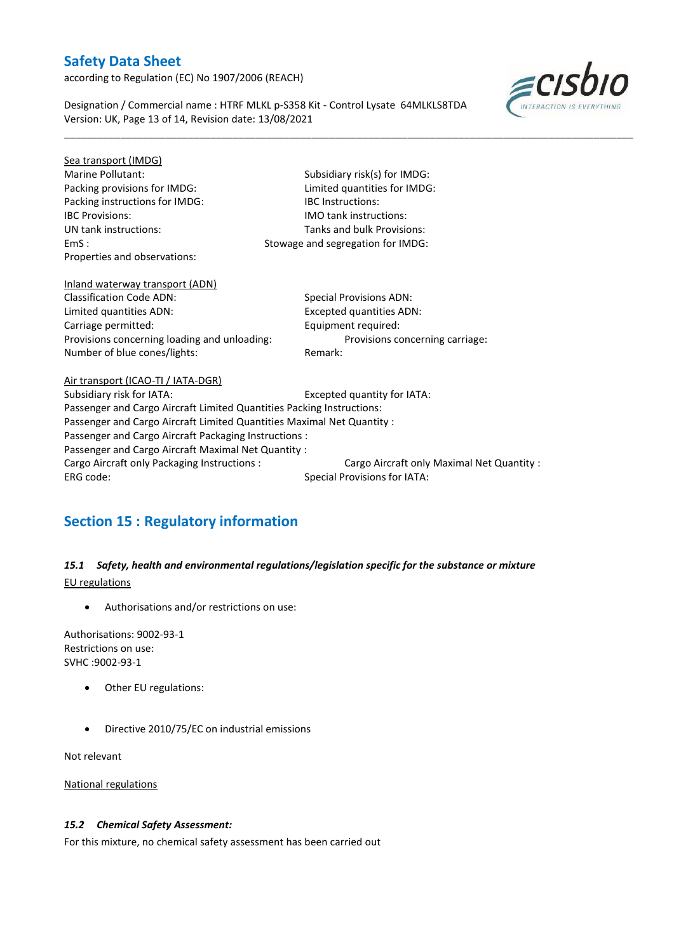according to Regulation (EC) No 1907/2006 (REACH)

Designation / Commercial name : HTRF MLKL p-S358 Kit - Control Lysate 64MLKLS8TDA Version: UK, Page 13 of 14, Revision date: 13/08/2021

\_\_\_\_\_\_\_\_\_\_\_\_\_\_\_\_\_\_\_\_\_\_\_\_\_\_\_\_\_\_\_\_\_\_\_\_\_\_\_\_\_\_\_\_\_\_\_\_\_\_\_\_\_\_\_\_\_\_\_\_\_\_\_\_\_\_\_\_\_\_\_\_\_\_\_\_\_\_\_\_\_\_\_\_\_\_\_\_\_\_\_\_\_\_\_\_\_\_\_\_\_



| Subsidiary risk(s) for IMDG:                                           |  |  |  |  |
|------------------------------------------------------------------------|--|--|--|--|
| Limited quantities for IMDG:                                           |  |  |  |  |
| <b>IBC</b> Instructions:                                               |  |  |  |  |
| <b>IMO tank instructions:</b>                                          |  |  |  |  |
| Tanks and bulk Provisions:                                             |  |  |  |  |
| Stowage and segregation for IMDG:                                      |  |  |  |  |
|                                                                        |  |  |  |  |
|                                                                        |  |  |  |  |
| <b>Special Provisions ADN:</b>                                         |  |  |  |  |
| Excepted quantities ADN:                                               |  |  |  |  |
| Equipment required:                                                    |  |  |  |  |
| Provisions concerning carriage:                                        |  |  |  |  |
| Remark:                                                                |  |  |  |  |
|                                                                        |  |  |  |  |
| Excepted quantity for IATA:                                            |  |  |  |  |
| Passenger and Cargo Aircraft Limited Quantities Packing Instructions:  |  |  |  |  |
| Passenger and Cargo Aircraft Limited Quantities Maximal Net Quantity : |  |  |  |  |
| Passenger and Cargo Aircraft Packaging Instructions :                  |  |  |  |  |
| Passenger and Cargo Aircraft Maximal Net Quantity :                    |  |  |  |  |
| Cargo Aircraft only Maximal Net Quantity :                             |  |  |  |  |
| <b>Special Provisions for IATA:</b>                                    |  |  |  |  |
|                                                                        |  |  |  |  |

# **Section 15 : Regulatory information**

### *15.1 Safety, health and environmental regulations/legislation specific for the substance or mixture* EU regulations

Authorisations and/or restrictions on use:

Authorisations: 9002-93-1 Restrictions on use: SVHC :9002-93-1

- Other EU regulations:
- Directive 2010/75/EC on industrial emissions

Not relevant

National regulations

### *15.2 Chemical Safety Assessment:*

For this mixture, no chemical safety assessment has been carried out